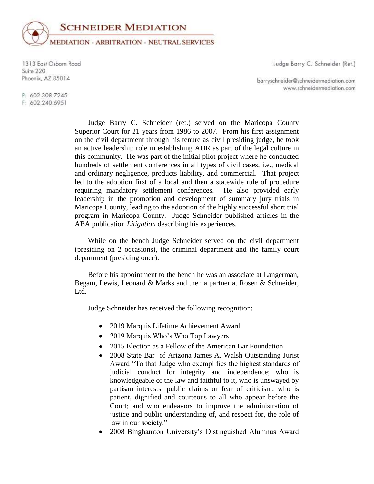

1313 East Osborn Road Suite 220 Phoenix, AZ 85014

Judge Barry C. Schneider (Ret.)

barryschneider@schneidermediation.com www.schneidermediation.com

P: 602.308.7245 F: 602.240.6951

> Judge Barry C. Schneider (ret.) served on the Maricopa County Superior Court for 21 years from 1986 to 2007. From his first assignment on the civil department through his tenure as civil presiding judge, he took an active leadership role in establishing ADR as part of the legal culture in this community. He was part of the initial pilot project where he conducted hundreds of settlement conferences in all types of civil cases, i.e., medical and ordinary negligence, products liability, and commercial. That project led to the adoption first of a local and then a statewide rule of procedure requiring mandatory settlement conferences. He also provided early leadership in the promotion and development of summary jury trials in Maricopa County, leading to the adoption of the highly successful short trial program in Maricopa County. Judge Schneider published articles in the ABA publication *Litigation* describing his experiences.

> While on the bench Judge Schneider served on the civil department (presiding on 2 occasions), the criminal department and the family court department (presiding once).

> Before his appointment to the bench he was an associate at Langerman, Begam, Lewis, Leonard & Marks and then a partner at Rosen & Schneider, Ltd.

Judge Schneider has received the following recognition:

- 2019 Marquis Lifetime Achievement Award
- 2019 Marquis Who's Who Top Lawyers
- 2015 Election as a Fellow of the American Bar Foundation.
- 2008 State Bar of Arizona James A. Walsh Outstanding Jurist Award "To that Judge who exemplifies the highest standards of judicial conduct for integrity and independence; who is knowledgeable of the law and faithful to it, who is unswayed by partisan interests, public claims or fear of criticism; who is patient, dignified and courteous to all who appear before the Court; and who endeavors to improve the administration of justice and public understanding of, and respect for, the role of law in our society."
- 2008 Binghamton University's Distinguished Alumnus Award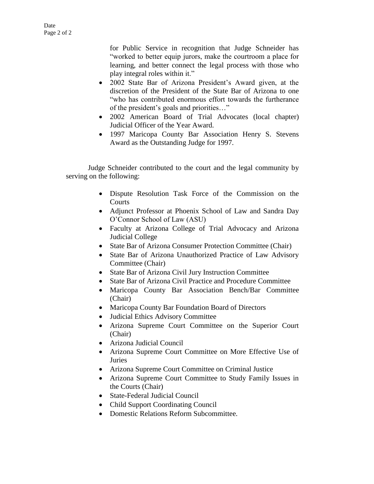for Public Service in recognition that Judge Schneider has "worked to better equip jurors, make the courtroom a place for learning, and better connect the legal process with those who play integral roles within it."

- 2002 State Bar of Arizona President's Award given, at the discretion of the President of the State Bar of Arizona to one "who has contributed enormous effort towards the furtherance of the president's goals and priorities…"
- 2002 American Board of Trial Advocates (local chapter) Judicial Officer of the Year Award.
- 1997 Maricopa County Bar Association Henry S. Stevens Award as the Outstanding Judge for 1997.

Judge Schneider contributed to the court and the legal community by serving on the following:

- Dispute Resolution Task Force of the Commission on the **Courts**
- Adjunct Professor at Phoenix School of Law and Sandra Day O'Connor School of Law (ASU)
- Faculty at Arizona College of Trial Advocacy and Arizona Judicial College
- State Bar of Arizona Consumer Protection Committee (Chair)
- State Bar of Arizona Unauthorized Practice of Law Advisory Committee (Chair)
- State Bar of Arizona Civil Jury Instruction Committee
- State Bar of Arizona Civil Practice and Procedure Committee
- Maricopa County Bar Association Bench/Bar Committee (Chair)
- Maricopa County Bar Foundation Board of Directors
- Judicial Ethics Advisory Committee
- Arizona Supreme Court Committee on the Superior Court (Chair)
- Arizona Judicial Council
- Arizona Supreme Court Committee on More Effective Use of Juries
- Arizona Supreme Court Committee on Criminal Justice
- Arizona Supreme Court Committee to Study Family Issues in the Courts (Chair)
- State-Federal Judicial Council
- Child Support Coordinating Council
- Domestic Relations Reform Subcommittee.